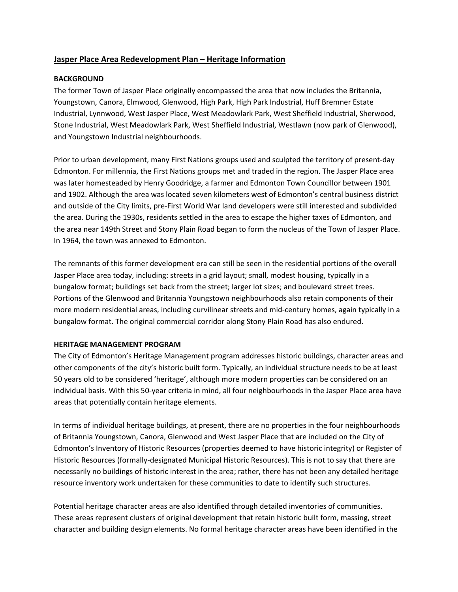## **Jasper Place Area Redevelopment Plan – Heritage Information**

## **BACKGROUND**

The former Town of Jasper Place originally encompassed the area that now includes the Britannia, Youngstown, Canora, Elmwood, Glenwood, High Park, High Park Industrial, Huff Bremner Estate Industrial, Lynnwood, West Jasper Place, West Meadowlark Park, West Sheffield Industrial, Sherwood, Stone Industrial, West Meadowlark Park, West Sheffield Industrial, Westlawn (now park of Glenwood), and Youngstown Industrial neighbourhoods.

Prior to urban development, many First Nations groups used and sculpted the territory of present‐day Edmonton. For millennia, the First Nations groups met and traded in the region. The Jasper Place area was later homesteaded by Henry Goodridge, a farmer and Edmonton Town Councillor between 1901 and 1902. Although the area was located seven kilometers west of Edmonton's central business district and outside of the City limits, pre‐First World War land developers were still interested and subdivided the area. During the 1930s, residents settled in the area to escape the higher taxes of Edmonton, and the area near 149th Street and Stony Plain Road began to form the nucleus of the Town of Jasper Place. In 1964, the town was annexed to Edmonton.

The remnants of this former development era can still be seen in the residential portions of the overall Jasper Place area today, including: streets in a grid layout; small, modest housing, typically in a bungalow format; buildings set back from the street; larger lot sizes; and boulevard street trees. Portions of the Glenwood and Britannia Youngstown neighbourhoods also retain components of their more modern residential areas, including curvilinear streets and mid‐century homes, again typically in a bungalow format. The original commercial corridor along Stony Plain Road has also endured.

## **HERITAGE MANAGEMENT PROGRAM**

The City of Edmonton's Heritage Management program addresses historic buildings, character areas and other components of the city's historic built form. Typically, an individual structure needs to be at least 50 years old to be considered 'heritage', although more modern properties can be considered on an individual basis. With this 50‐year criteria in mind, all four neighbourhoods in the Jasper Place area have areas that potentially contain heritage elements.

In terms of individual heritage buildings, at present, there are no properties in the four neighbourhoods of Britannia Youngstown, Canora, Glenwood and West Jasper Place that are included on the City of Edmonton's Inventory of Historic Resources (properties deemed to have historic integrity) or Register of Historic Resources (formally‐designated Municipal Historic Resources). This is not to say that there are necessarily no buildings of historic interest in the area; rather, there has not been any detailed heritage resource inventory work undertaken for these communities to date to identify such structures.

Potential heritage character areas are also identified through detailed inventories of communities. These areas represent clusters of original development that retain historic built form, massing, street character and building design elements. No formal heritage character areas have been identified in the